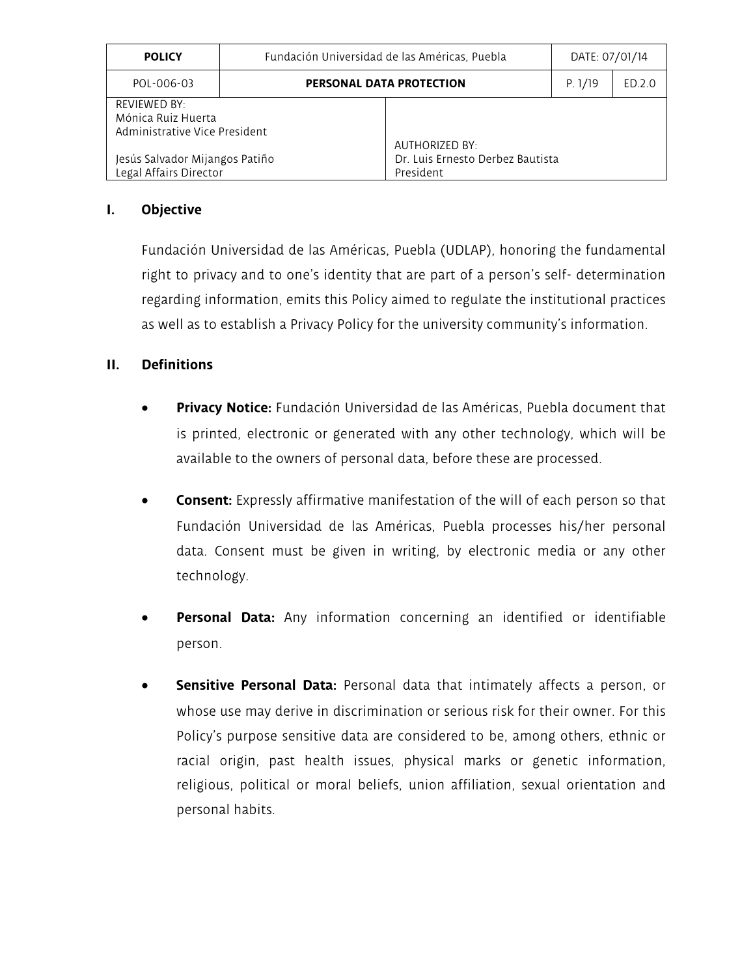| <b>POLICY</b>                                                              | Fundación Universidad de las Américas, Puebla |                                                                        | DATE: 07/01/14 |      |
|----------------------------------------------------------------------------|-----------------------------------------------|------------------------------------------------------------------------|----------------|------|
| POL-006-03                                                                 | PERSONAL DATA PROTECTION                      |                                                                        | P. 1/19        | FD20 |
| <b>REVIEWED BY:</b><br>Mónica Ruiz Huerta<br>Administrative Vice President |                                               |                                                                        |                |      |
| Jesús Salvador Mijangos Patiño<br>Legal Affairs Director                   |                                               | <b>AUTHORIZED BY:</b><br>Dr. Luis Ernesto Derbez Bautista<br>President |                |      |

# **I. Objective**

Fundación Universidad de las Américas, Puebla (UDLAP), honoring the fundamental right to privacy and to one's identity that are part of a person's self- determination regarding information, emits this Policy aimed to regulate the institutional practices as well as to establish a Privacy Policy for the university community's information.

# **II. Definitions**

- **Privacy Notice:** Fundación Universidad de las Américas, Puebla document that is printed, electronic or generated with any other technology, which will be available to the owners of personal data, before these are processed.
- **Consent:** Expressly affirmative manifestation of the will of each person so that Fundación Universidad de las Américas, Puebla processes his/her personal data. Consent must be given in writing, by electronic media or any other technology.
- **Personal Data:** Any information concerning an identified or identifiable person.
- **Sensitive Personal Data:** Personal data that intimately affects a person, or whose use may derive in discrimination or serious risk for their owner. For this Policy's purpose sensitive data are considered to be, among others, ethnic or racial origin, past health issues, physical marks or genetic information, religious, political or moral beliefs, union affiliation, sexual orientation and personal habits.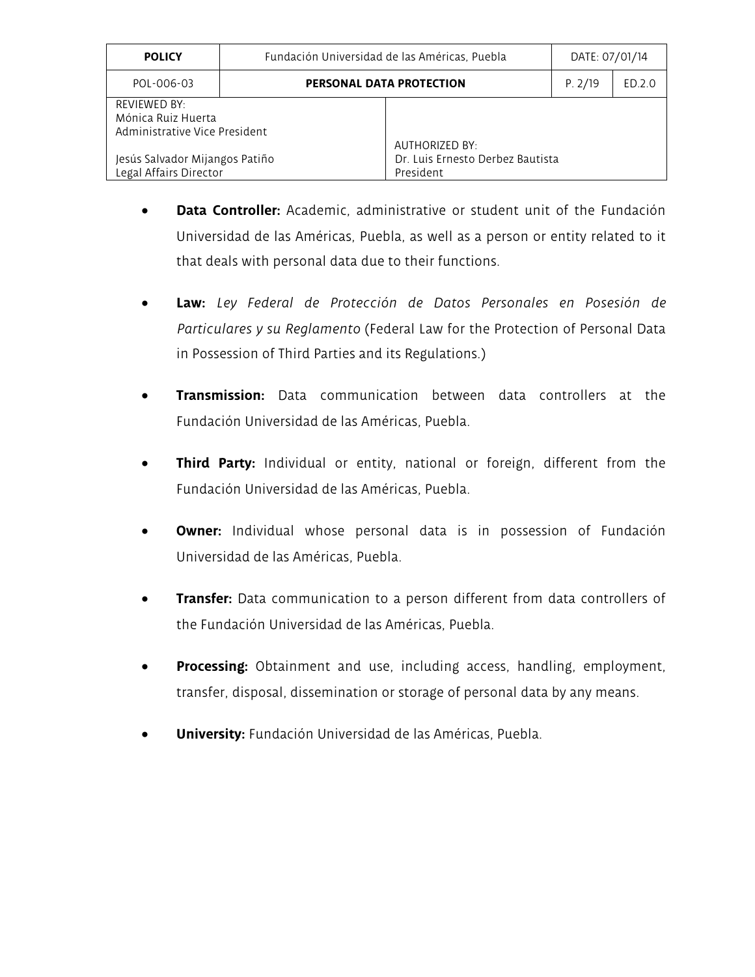| <b>POLICY</b>                                                              | Fundación Universidad de las Américas, Puebla |                                               | DATE: 07/01/14 |        |
|----------------------------------------------------------------------------|-----------------------------------------------|-----------------------------------------------|----------------|--------|
| POL-006-03                                                                 | PERSONAL DATA PROTECTION                      |                                               | P. 2/19        | ED.2.0 |
| <b>REVIEWED BY:</b><br>Mónica Ruiz Huerta<br>Administrative Vice President |                                               | <b>AUTHORIZED BY:</b>                         |                |        |
| Jesús Salvador Mijangos Patiño<br>Legal Affairs Director                   |                                               | Dr. Luis Ernesto Derbez Bautista<br>President |                |        |

- **Data Controller:** Academic, administrative or student unit of the Fundación Universidad de las Américas, Puebla, as well as a person or entity related to it that deals with personal data due to their functions.
- **Law:** *Ley Federal de Protección de Datos Personales en Posesión de Particulares y su Reglamento* (Federal Law for the Protection of Personal Data in Possession of Third Parties and its Regulations.)
- **Transmission:** Data communication between data controllers at the Fundación Universidad de las Américas, Puebla.
- **Third Party:** Individual or entity, national or foreign, different from the Fundación Universidad de las Américas, Puebla.
- **Owner:** Individual whose personal data is in possession of Fundación Universidad de las Américas, Puebla.
- **Transfer:** Data communication to a person different from data controllers of the Fundación Universidad de las Américas, Puebla.
- **Processing:** Obtainment and use, including access, handling, employment, transfer, disposal, dissemination or storage of personal data by any means.
- **University:** Fundación Universidad de las Américas, Puebla.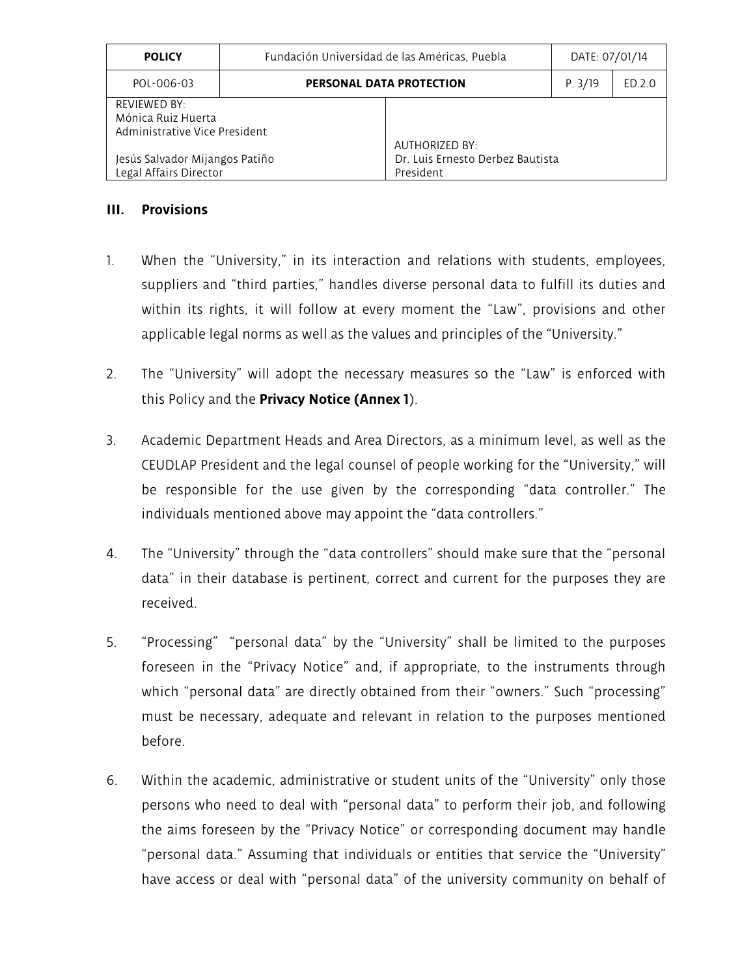| <b>POLICY</b>                                                              | Fundación Universidad de las Américas, Puebla |                                                                 | DATE: 07/01/14 |      |
|----------------------------------------------------------------------------|-----------------------------------------------|-----------------------------------------------------------------|----------------|------|
| POL-006-03                                                                 | PERSONAL DATA PROTECTION                      |                                                                 | P. 3/19        | FD20 |
| <b>REVIEWED BY:</b><br>Mónica Ruiz Huerta<br>Administrative Vice President |                                               |                                                                 |                |      |
| Jesús Salvador Mijangos Patiño<br>Legal Affairs Director                   |                                               | AUTHORIZED BY:<br>Dr. Luis Ernesto Derbez Bautista<br>President |                |      |

## **III. Provisions**

- 1. When the "University," in its interaction and relations with students, employees, suppliers and "third parties," handles diverse personal data to fulfill its duties and within its rights, it will follow at every moment the "Law", provisions and other applicable legal norms as well as the values and principles of the "University."
- 2. The "University" will adopt the necessary measures so the "Law" is enforced with this Policy and the **Privacy Notice (Annex 1**).
- 3. Academic Department Heads and Area Directors, as a minimum level, as well as the CEUDLAP President and the legal counsel of people working for the "University," will be responsible for the use given by the corresponding "data controller." The individuals mentioned above may appoint the "data controllers."
- 4. The "University" through the "data controllers" should make sure that the "personal data" in their database is pertinent, correct and current for the purposes they are received.
- 5. "Processing" "personal data" by the "University" shall be limited to the purposes foreseen in the "Privacy Notice" and, if appropriate, to the instruments through which "personal data" are directly obtained from their "owners." Such "processing" must be necessary, adequate and relevant in relation to the purposes mentioned before.
- 6. Within the academic, administrative or student units of the "University" only those persons who need to deal with "personal data" to perform their job, and following the aims foreseen by the "Privacy Notice" or corresponding document may handle "personal data." Assuming that individuals or entities that service the "University" have access or deal with "personal data" of the university community on behalf of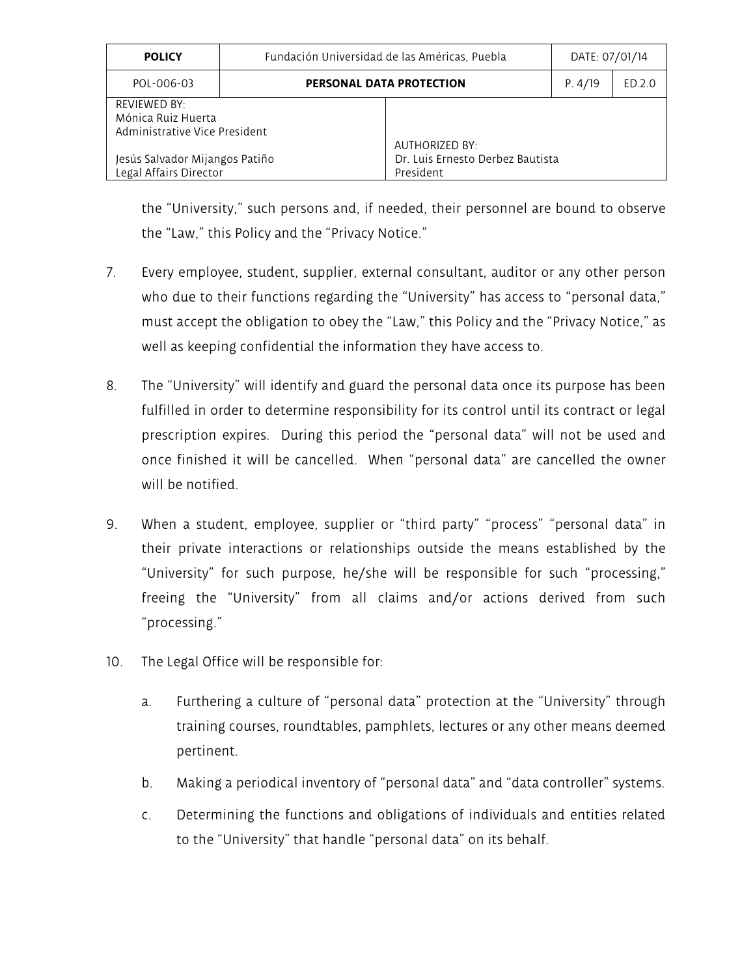| <b>POLICY</b>                                                       | Fundación Universidad de las Américas, Puebla |                                                                        | DATE: 07/01/14 |        |
|---------------------------------------------------------------------|-----------------------------------------------|------------------------------------------------------------------------|----------------|--------|
| POL-006-03                                                          | PERSONAL DATA PROTECTION                      |                                                                        | P.4/19         | ED.2.0 |
| REVIEWED BY:<br>Mónica Ruiz Huerta<br>Administrative Vice President |                                               |                                                                        |                |        |
| Jesús Salvador Mijangos Patiño<br>Legal Affairs Director            |                                               | <b>AUTHORIZED BY:</b><br>Dr. Luis Ernesto Derbez Bautista<br>President |                |        |

the "University," such persons and, if needed, their personnel are bound to observe the "Law," this Policy and the "Privacy Notice."

- 7. Every employee, student, supplier, external consultant, auditor or any other person who due to their functions regarding the "University" has access to "personal data," must accept the obligation to obey the "Law," this Policy and the "Privacy Notice," as well as keeping confidential the information they have access to.
- 8. The "University" will identify and guard the personal data once its purpose has been fulfilled in order to determine responsibility for its control until its contract or legal prescription expires. During this period the "personal data" will not be used and once finished it will be cancelled. When "personal data" are cancelled the owner will be notified.
- 9. When a student, employee, supplier or "third party" "process" "personal data" in their private interactions or relationships outside the means established by the "University" for such purpose, he/she will be responsible for such "processing," freeing the "University" from all claims and/or actions derived from such "processing."
- 10. The Legal Office will be responsible for:
	- a. Furthering a culture of "personal data" protection at the "University" through training courses, roundtables, pamphlets, lectures or any other means deemed pertinent.
	- b. Making a periodical inventory of "personal data" and "data controller" systems.
	- c. Determining the functions and obligations of individuals and entities related to the "University" that handle "personal data" on its behalf.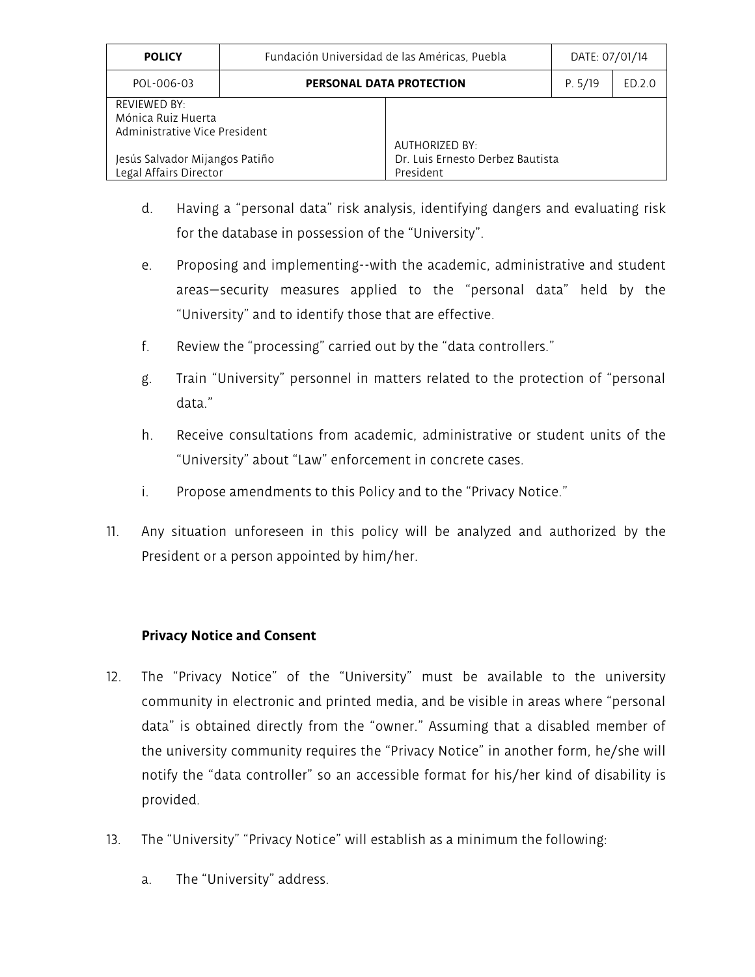| <b>POLICY</b>                                                              | Fundación Universidad de las Américas, Puebla |                                                                 | DATE: 07/01/14 |        |
|----------------------------------------------------------------------------|-----------------------------------------------|-----------------------------------------------------------------|----------------|--------|
| POL-006-03                                                                 | PERSONAL DATA PROTECTION                      |                                                                 | P. 5/19        | ED.2.0 |
| <b>REVIEWED BY:</b><br>Mónica Ruiz Huerta<br>Administrative Vice President |                                               |                                                                 |                |        |
| Jesús Salvador Mijangos Patiño<br>Legal Affairs Director                   |                                               | AUTHORIZED BY:<br>Dr. Luis Ernesto Derbez Bautista<br>President |                |        |

- d. Having a "personal data" risk analysis, identifying dangers and evaluating risk for the database in possession of the "University".
- e. Proposing and implementing--with the academic, administrative and student areas—security measures applied to the "personal data" held by the "University" and to identify those that are effective.
- f. Review the "processing" carried out by the "data controllers."
- g. Train "University" personnel in matters related to the protection of "personal data."
- h. Receive consultations from academic, administrative or student units of the "University" about "Law" enforcement in concrete cases.
- i. Propose amendments to this Policy and to the "Privacy Notice."
- 11. Any situation unforeseen in this policy will be analyzed and authorized by the President or a person appointed by him/her.

# **Privacy Notice and Consent**

- 12. The "Privacy Notice" of the "University" must be available to the university community in electronic and printed media, and be visible in areas where "personal data" is obtained directly from the "owner." Assuming that a disabled member of the university community requires the "Privacy Notice" in another form, he/she will notify the "data controller" so an accessible format for his/her kind of disability is provided.
- 13. The "University" "Privacy Notice" will establish as a minimum the following:
	- a. The "University" address.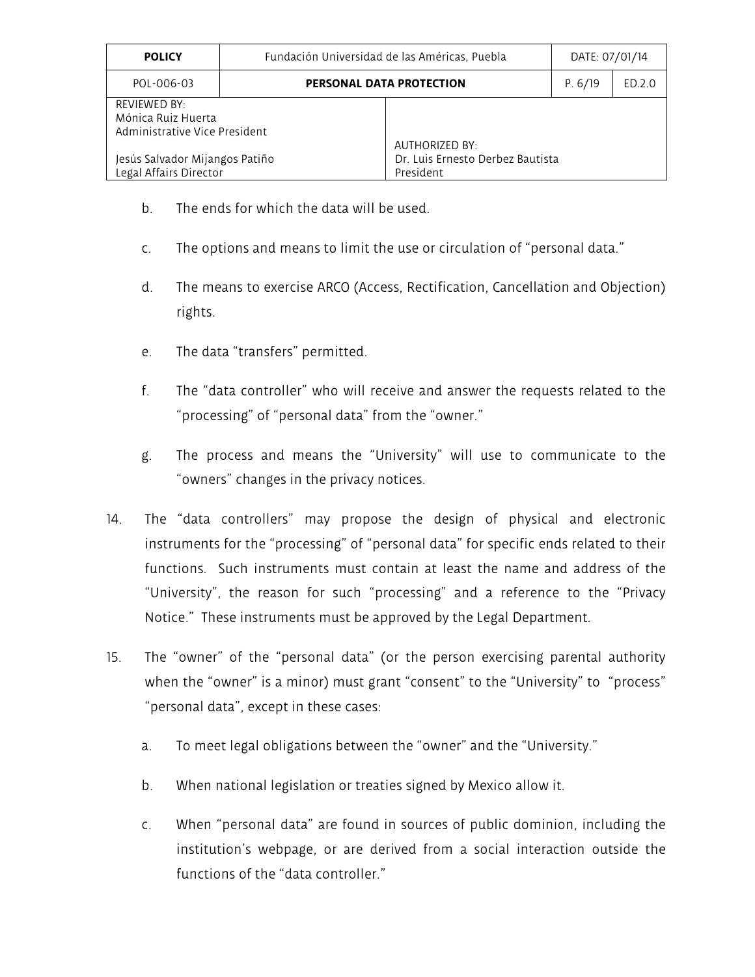| <b>POLICY</b>                                                       | Fundación Universidad de las Américas, Puebla |                                                                        | DATE: 07/01/14 |      |
|---------------------------------------------------------------------|-----------------------------------------------|------------------------------------------------------------------------|----------------|------|
| POL-006-03                                                          | PERSONAL DATA PROTECTION                      |                                                                        | P. 6/19        | FD20 |
| REVIEWED BY:<br>Mónica Ruiz Huerta<br>Administrative Vice President |                                               |                                                                        |                |      |
| Jesús Salvador Mijangos Patiño<br>Legal Affairs Director            |                                               | <b>AUTHORIZED BY:</b><br>Dr. Luis Ernesto Derbez Bautista<br>President |                |      |

- b. The ends for which the data will be used.
- c. The options and means to limit the use or circulation of "personal data."
- d. The means to exercise ARCO (Access, Rectification, Cancellation and Objection) rights.
- e. The data "transfers" permitted.
- f. The "data controller" who will receive and answer the requests related to the "processing" of "personal data" from the "owner."
- g. The process and means the "University" will use to communicate to the "owners" changes in the privacy notices.
- 14. The "data controllers" may propose the design of physical and electronic instruments for the "processing" of "personal data" for specific ends related to their functions. Such instruments must contain at least the name and address of the "University", the reason for such "processing" and a reference to the "Privacy Notice." These instruments must be approved by the Legal Department.
- 15. The "owner" of the "personal data" (or the person exercising parental authority when the "owner" is a minor) must grant "consent" to the "University" to "process" "personal data", except in these cases:
	- a. To meet legal obligations between the "owner" and the "University."
	- b. When national legislation or treaties signed by Mexico allow it.
	- c. When "personal data" are found in sources of public dominion, including the institution's webpage, or are derived from a social interaction outside the functions of the "data controller."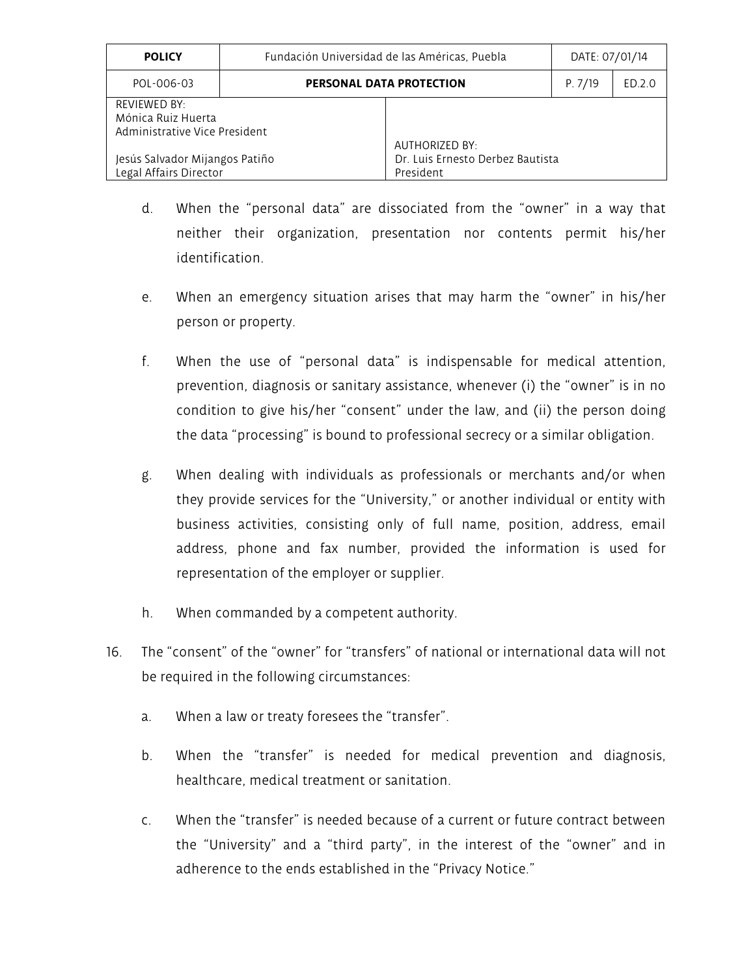| <b>POLICY</b>                                                              | Fundación Universidad de las Américas, Puebla |                                                                        | DATE: 07/01/14 |      |
|----------------------------------------------------------------------------|-----------------------------------------------|------------------------------------------------------------------------|----------------|------|
| POL-006-03                                                                 | PERSONAL DATA PROTECTION                      |                                                                        | P.7/19         | FD20 |
| <b>REVIEWED BY:</b><br>Mónica Ruiz Huerta<br>Administrative Vice President |                                               |                                                                        |                |      |
| Jesús Salvador Mijangos Patiño<br>Legal Affairs Director                   |                                               | <b>AUTHORIZED BY:</b><br>Dr. Luis Ernesto Derbez Bautista<br>President |                |      |

- d. When the "personal data" are dissociated from the "owner" in a way that neither their organization, presentation nor contents permit his/her identification.
- e. When an emergency situation arises that may harm the "owner" in his/her person or property.
- f. When the use of "personal data" is indispensable for medical attention, prevention, diagnosis or sanitary assistance, whenever (i) the "owner" is in no condition to give his/her "consent" under the law, and (ii) the person doing the data "processing" is bound to professional secrecy or a similar obligation.
- g. When dealing with individuals as professionals or merchants and/or when they provide services for the "University," or another individual or entity with business activities, consisting only of full name, position, address, email address, phone and fax number, provided the information is used for representation of the employer or supplier.
- h. When commanded by a competent authority.
- 16. The "consent" of the "owner" for "transfers" of national or international data will not be required in the following circumstances:
	- a. When a law or treaty foresees the "transfer".
	- b. When the "transfer" is needed for medical prevention and diagnosis, healthcare, medical treatment or sanitation.
	- c. When the "transfer" is needed because of a current or future contract between the "University" and a "third party", in the interest of the "owner" and in adherence to the ends established in the "Privacy Notice."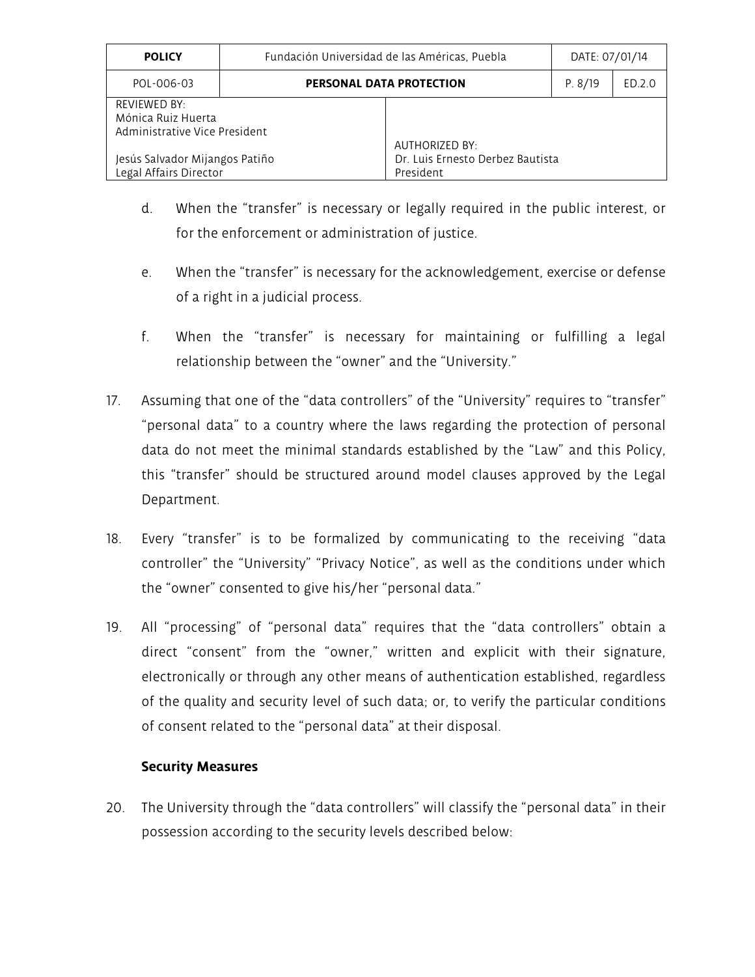| <b>POLICY</b>                                                              | Fundación Universidad de las Américas, Puebla |                                                                 | DATE: 07/01/14 |        |
|----------------------------------------------------------------------------|-----------------------------------------------|-----------------------------------------------------------------|----------------|--------|
| POL-006-03                                                                 | PERSONAL DATA PROTECTION                      |                                                                 | P. 8/19        | FD.2.0 |
| <b>REVIEWED BY:</b><br>Mónica Ruiz Huerta<br>Administrative Vice President |                                               |                                                                 |                |        |
| Jesús Salvador Mijangos Patiño<br>Legal Affairs Director                   |                                               | AUTHORIZED BY:<br>Dr. Luis Ernesto Derbez Bautista<br>President |                |        |

- d. When the "transfer" is necessary or legally required in the public interest, or for the enforcement or administration of justice.
- e. When the "transfer" is necessary for the acknowledgement, exercise or defense of a right in a judicial process.
- f. When the "transfer" is necessary for maintaining or fulfilling a legal relationship between the "owner" and the "University."
- 17. Assuming that one of the "data controllers" of the "University" requires to "transfer" "personal data" to a country where the laws regarding the protection of personal data do not meet the minimal standards established by the "Law" and this Policy, this "transfer" should be structured around model clauses approved by the Legal Department.
- 18. Every "transfer" is to be formalized by communicating to the receiving "data controller" the "University" "Privacy Notice", as well as the conditions under which the "owner" consented to give his/her "personal data."
- 19. All "processing" of "personal data" requires that the "data controllers" obtain a direct "consent" from the "owner," written and explicit with their signature, electronically or through any other means of authentication established, regardless of the quality and security level of such data; or, to verify the particular conditions of consent related to the "personal data" at their disposal.

# **Security Measures**

20. The University through the "data controllers" will classify the "personal data" in their possession according to the security levels described below: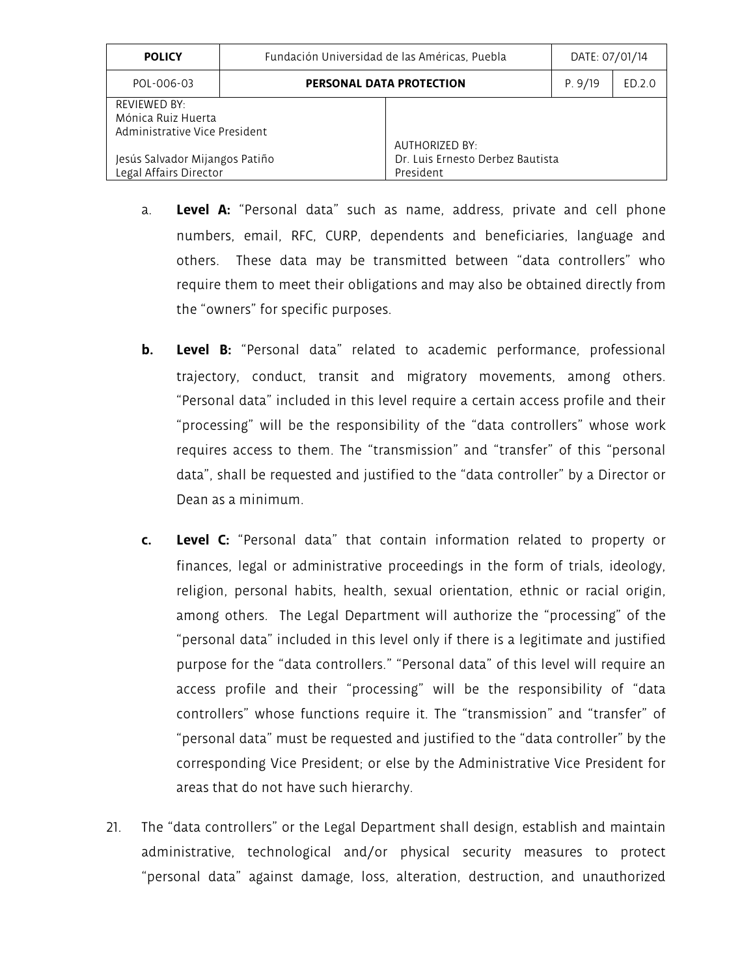| <b>POLICY</b>                                                       | Fundación Universidad de las Américas, Puebla |                                                                        | DATE: 07/01/14 |        |
|---------------------------------------------------------------------|-----------------------------------------------|------------------------------------------------------------------------|----------------|--------|
| POL-006-03                                                          | PERSONAL DATA PROTECTION                      |                                                                        | P.9/19         | ED.2.0 |
| REVIEWED BY:<br>Mónica Ruiz Huerta<br>Administrative Vice President |                                               |                                                                        |                |        |
| Jesús Salvador Mijangos Patiño<br>Legal Affairs Director            |                                               | <b>AUTHORIZED BY:</b><br>Dr. Luis Ernesto Derbez Bautista<br>President |                |        |

- a. **Level A:** "Personal data" such as name, address, private and cell phone numbers, email, RFC, CURP, dependents and beneficiaries, language and others. These data may be transmitted between "data controllers" who require them to meet their obligations and may also be obtained directly from the "owners" for specific purposes.
- **b. Level B:** "Personal data" related to academic performance, professional trajectory, conduct, transit and migratory movements, among others. "Personal data" included in this level require a certain access profile and their "processing" will be the responsibility of the "data controllers" whose work requires access to them. The "transmission" and "transfer" of this "personal data", shall be requested and justified to the "data controller" by a Director or Dean as a minimum.
- **c. Level C:** "Personal data" that contain information related to property or finances, legal or administrative proceedings in the form of trials, ideology, religion, personal habits, health, sexual orientation, ethnic or racial origin, among others. The Legal Department will authorize the "processing" of the "personal data" included in this level only if there is a legitimate and justified purpose for the "data controllers." "Personal data" of this level will require an access profile and their "processing" will be the responsibility of "data controllers" whose functions require it. The "transmission" and "transfer" of "personal data" must be requested and justified to the "data controller" by the corresponding Vice President; or else by the Administrative Vice President for areas that do not have such hierarchy.
- 21. The "data controllers" or the Legal Department shall design, establish and maintain administrative, technological and/or physical security measures to protect "personal data" against damage, loss, alteration, destruction, and unauthorized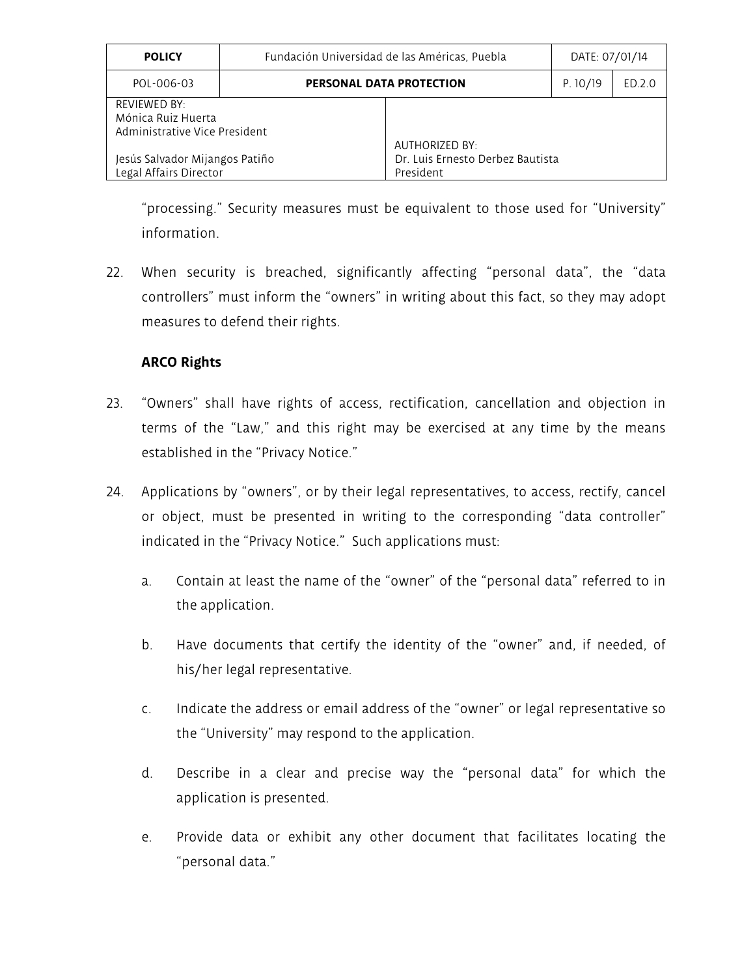| <b>POLICY</b>                                                       | Fundación Universidad de las Américas, Puebla |                                                                 | DATE: 07/01/14 |      |
|---------------------------------------------------------------------|-----------------------------------------------|-----------------------------------------------------------------|----------------|------|
| POL-006-03                                                          | PERSONAL DATA PROTECTION                      |                                                                 | P. 10/19       | FD20 |
| REVIEWED BY:<br>Mónica Ruiz Huerta<br>Administrative Vice President |                                               |                                                                 |                |      |
| Jesús Salvador Mijangos Patiño<br>Legal Affairs Director            |                                               | AUTHORIZED BY:<br>Dr. Luis Ernesto Derbez Bautista<br>President |                |      |

"processing." Security measures must be equivalent to those used for "University" information.

22. When security is breached, significantly affecting "personal data", the "data controllers" must inform the "owners" in writing about this fact, so they may adopt measures to defend their rights.

# **ARCO Rights**

- 23. "Owners" shall have rights of access, rectification, cancellation and objection in terms of the "Law," and this right may be exercised at any time by the means established in the "Privacy Notice."
- 24. Applications by "owners", or by their legal representatives, to access, rectify, cancel or object, must be presented in writing to the corresponding "data controller" indicated in the "Privacy Notice." Such applications must:
	- a. Contain at least the name of the "owner" of the "personal data" referred to in the application.
	- b. Have documents that certify the identity of the "owner" and, if needed, of his/her legal representative.
	- c. Indicate the address or email address of the "owner" or legal representative so the "University" may respond to the application.
	- d. Describe in a clear and precise way the "personal data" for which the application is presented.
	- e. Provide data or exhibit any other document that facilitates locating the "personal data."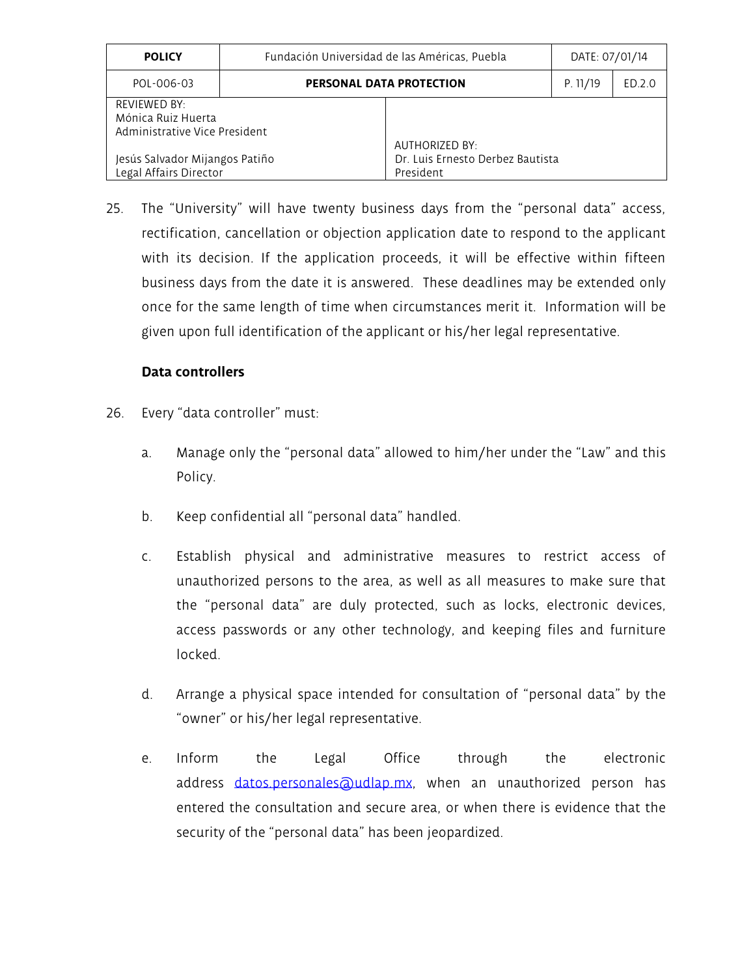| <b>POLICY</b>                                                       | Fundación Universidad de las Américas, Puebla |                                                                        | DATE: 07/01/14 |        |
|---------------------------------------------------------------------|-----------------------------------------------|------------------------------------------------------------------------|----------------|--------|
| POL-006-03                                                          | PERSONAL DATA PROTECTION                      |                                                                        | P. 11/19       | ED.2.0 |
| REVIEWED BY:<br>Mónica Ruiz Huerta<br>Administrative Vice President |                                               |                                                                        |                |        |
| Jesús Salvador Mijangos Patiño<br>Legal Affairs Director            |                                               | <b>AUTHORIZED BY:</b><br>Dr. Luis Ernesto Derbez Bautista<br>President |                |        |

25. The "University" will have twenty business days from the "personal data" access, rectification, cancellation or objection application date to respond to the applicant with its decision. If the application proceeds, it will be effective within fifteen business days from the date it is answered. These deadlines may be extended only once for the same length of time when circumstances merit it. Information will be given upon full identification of the applicant or his/her legal representative.

# **Data controllers**

- 26. Every "data controller" must:
	- a. Manage only the "personal data" allowed to him/her under the "Law" and this Policy.
	- b. Keep confidential all "personal data" handled.
	- c. Establish physical and administrative measures to restrict access of unauthorized persons to the area, as well as all measures to make sure that the "personal data" are duly protected, such as locks, electronic devices, access passwords or any other technology, and keeping files and furniture locked.
	- d. Arrange a physical space intended for consultation of "personal data" by the "owner" or his/her legal representative.
	- e. Inform the Legal Office through the electronic address [datos.personales@udlap.mx,](mailto:datos.personales@udlap.mx) when an unauthorized person has entered the consultation and secure area, or when there is evidence that the security of the "personal data" has been jeopardized.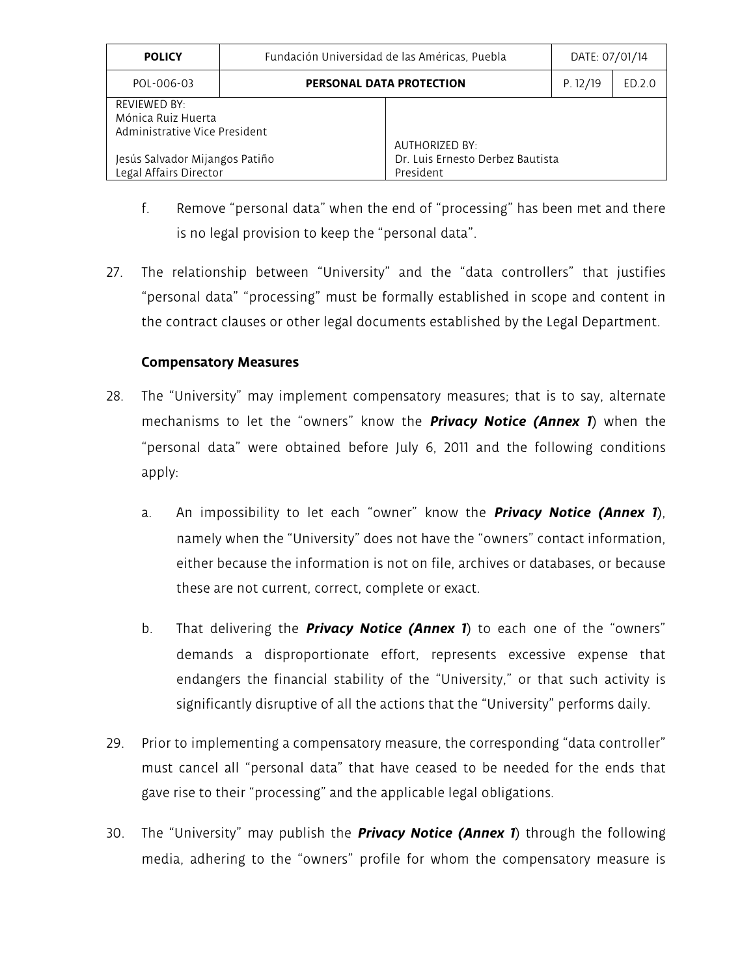| <b>POLICY</b>                                                              | Fundación Universidad de las Américas, Puebla |                                                                 | DATE: 07/01/14 |        |
|----------------------------------------------------------------------------|-----------------------------------------------|-----------------------------------------------------------------|----------------|--------|
| POL-006-03                                                                 | PERSONAL DATA PROTECTION                      |                                                                 | P. 12/19       | FD.2.0 |
| <b>REVIEWED BY:</b><br>Mónica Ruiz Huerta<br>Administrative Vice President |                                               |                                                                 |                |        |
| Jesús Salvador Mijangos Patiño<br>Legal Affairs Director                   |                                               | AUTHORIZED BY:<br>Dr. Luis Ernesto Derbez Bautista<br>President |                |        |

- f. Remove "personal data" when the end of "processing" has been met and there is no legal provision to keep the "personal data".
- 27. The relationship between "University" and the "data controllers" that justifies "personal data" "processing" must be formally established in scope and content in the contract clauses or other legal documents established by the Legal Department.

# **Compensatory Measures**

- 28. The "University" may implement compensatory measures; that is to say, alternate mechanisms to let the "owners" know the *Privacy Notice (Annex 1*) when the "personal data" were obtained before July 6, 2011 and the following conditions apply:
	- a. An impossibility to let each "owner" know the *Privacy Notice (Annex 1*), namely when the "University" does not have the "owners" contact information, either because the information is not on file, archives or databases, or because these are not current, correct, complete or exact.
	- b. That delivering the *Privacy Notice (Annex 1*) to each one of the "owners" demands a disproportionate effort, represents excessive expense that endangers the financial stability of the "University," or that such activity is significantly disruptive of all the actions that the "University" performs daily.
- 29. Prior to implementing a compensatory measure, the corresponding "data controller" must cancel all "personal data" that have ceased to be needed for the ends that gave rise to their "processing" and the applicable legal obligations.
- 30. The "University" may publish the *Privacy Notice (Annex 1*) through the following media, adhering to the "owners" profile for whom the compensatory measure is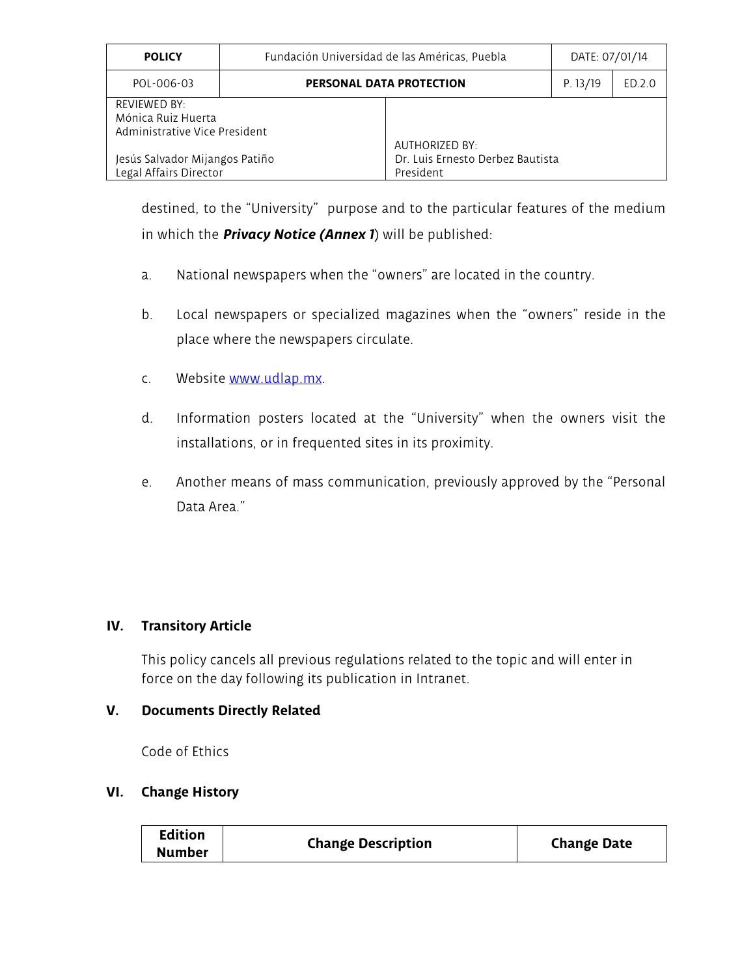| <b>POLICY</b>                                                                                                               | Fundación Universidad de las Américas, Puebla |  | DATE: 07/01/14 |        |
|-----------------------------------------------------------------------------------------------------------------------------|-----------------------------------------------|--|----------------|--------|
| POL-006-03                                                                                                                  | PERSONAL DATA PROTECTION                      |  | P. 13/19       | ED.2.0 |
| <b>REVIEWED BY:</b><br>Mónica Ruiz Huerta<br>Administrative Vice President                                                  |                                               |  |                |        |
| AUTHORIZED BY:<br>Dr. Luis Ernesto Derbez Bautista<br>Jesús Salvador Mijangos Patiño<br>Legal Affairs Director<br>President |                                               |  |                |        |

destined, to the "University" purpose and to the particular features of the medium in which the *Privacy Notice (Annex 1*) will be published:

- a. National newspapers when the "owners" are located in the country.
- b. Local newspapers or specialized magazines when the "owners" reside in the place where the newspapers circulate.
- c. Website [www.udlap.mx.](http://www.udlap.mx/)
- d. Information posters located at the "University" when the owners visit the installations, or in frequented sites in its proximity.
- e. Another means of mass communication, previously approved by the "Personal Data Area."

# **IV. Transitory Article**

This policy cancels all previous regulations related to the topic and will enter in force on the day following its publication in Intranet.

# **V. Documents Directly Related**

Code of Ethics

# **VI. Change History**

| <b>Edition</b> | <b>Change Description</b> |                    |  |
|----------------|---------------------------|--------------------|--|
| <b>Number</b>  |                           | <b>Change Date</b> |  |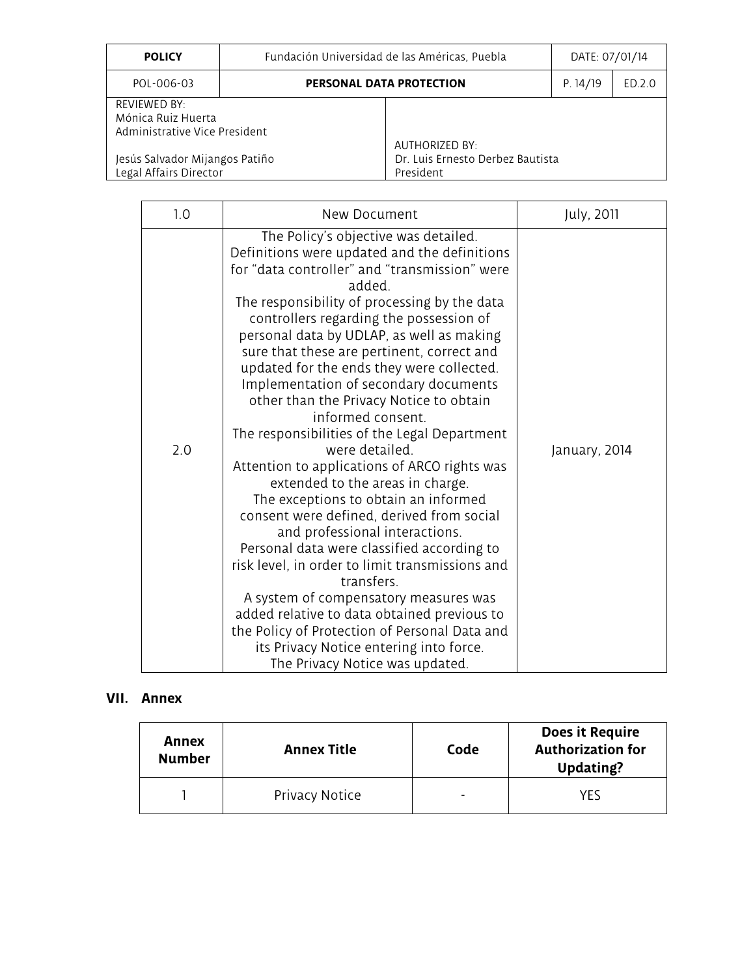| <b>POLICY</b>                                                       | Fundación Universidad de las Américas, Puebla |                                                                 | DATE: 07/01/14 |        |
|---------------------------------------------------------------------|-----------------------------------------------|-----------------------------------------------------------------|----------------|--------|
| POL-006-03                                                          | PERSONAL DATA PROTECTION                      |                                                                 | P. 14/19       | ED.2.0 |
| REVIEWED BY:<br>Mónica Ruiz Huerta<br>Administrative Vice President |                                               |                                                                 |                |        |
| Jesús Salvador Mijangos Patiño<br>Legal Affairs Director            |                                               | AUTHORIZED BY:<br>Dr. Luis Ernesto Derbez Bautista<br>President |                |        |

| 1.0 | New Document                                                                                                                                                                                                                                                                                                                                                                                                                                                                                                                                                                                                                                                                                                                                                                                                                                                                                                                                                                                                                                                                                                   | July, 2011    |
|-----|----------------------------------------------------------------------------------------------------------------------------------------------------------------------------------------------------------------------------------------------------------------------------------------------------------------------------------------------------------------------------------------------------------------------------------------------------------------------------------------------------------------------------------------------------------------------------------------------------------------------------------------------------------------------------------------------------------------------------------------------------------------------------------------------------------------------------------------------------------------------------------------------------------------------------------------------------------------------------------------------------------------------------------------------------------------------------------------------------------------|---------------|
| 2.0 | The Policy's objective was detailed.<br>Definitions were updated and the definitions<br>for "data controller" and "transmission" were<br>added.<br>The responsibility of processing by the data<br>controllers regarding the possession of<br>personal data by UDLAP, as well as making<br>sure that these are pertinent, correct and<br>updated for the ends they were collected.<br>Implementation of secondary documents<br>other than the Privacy Notice to obtain<br>informed consent.<br>The responsibilities of the Legal Department<br>were detailed.<br>Attention to applications of ARCO rights was<br>extended to the areas in charge.<br>The exceptions to obtain an informed<br>consent were defined, derived from social<br>and professional interactions.<br>Personal data were classified according to<br>risk level, in order to limit transmissions and<br>transfers.<br>A system of compensatory measures was<br>added relative to data obtained previous to<br>the Policy of Protection of Personal Data and<br>its Privacy Notice entering into force.<br>The Privacy Notice was updated. | January, 2014 |

# **VII. Annex**

| Annex<br><b>Number</b> | <b>Annex Title</b> | Code | Does it Require<br><b>Authorization for</b><br>Updating? |
|------------------------|--------------------|------|----------------------------------------------------------|
|                        | Privacy Notice     | -    | YFS                                                      |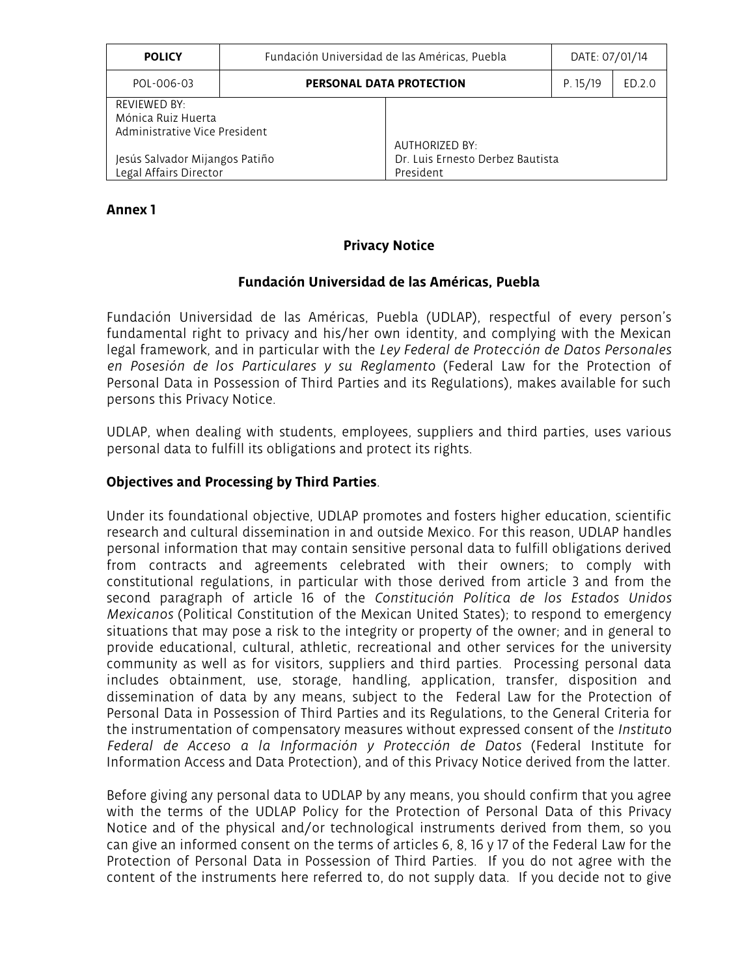| <b>POLICY</b>                                                              | Fundación Universidad de las Américas, Puebla |                                                                        | DATE: 07/01/14 |        |
|----------------------------------------------------------------------------|-----------------------------------------------|------------------------------------------------------------------------|----------------|--------|
| POL-006-03                                                                 | PERSONAL DATA PROTECTION                      |                                                                        | P. 15/19       | ED.2.0 |
| <b>REVIEWED BY:</b><br>Mónica Ruiz Huerta<br>Administrative Vice President |                                               |                                                                        |                |        |
| Jesús Salvador Mijangos Patiño<br>Legal Affairs Director                   |                                               | <b>AUTHORIZED BY:</b><br>Dr. Luis Ernesto Derbez Bautista<br>President |                |        |

## **Annex 1**

## **Privacy Notice**

### **Fundación Universidad de las Américas, Puebla**

Fundación Universidad de las Américas, Puebla (UDLAP), respectful of every person's fundamental right to privacy and his/her own identity, and complying with the Mexican legal framework, and in particular with the *Ley Federal de Protección de Datos Personales en Posesión de los Particulares y su Reglamento* (Federal Law for the Protection of Personal Data in Possession of Third Parties and its Regulations), makes available for such persons this Privacy Notice.

UDLAP, when dealing with students, employees, suppliers and third parties, uses various personal data to fulfill its obligations and protect its rights.

## **Objectives and Processing by Third Parties**.

Under its foundational objective, UDLAP promotes and fosters higher education, scientific research and cultural dissemination in and outside Mexico. For this reason, UDLAP handles personal information that may contain sensitive personal data to fulfill obligations derived from contracts and agreements celebrated with their owners; to comply with constitutional regulations, in particular with those derived from article 3 and from the second paragraph of article 16 of the *Constitución Política de los Estados Unidos Mexicanos* (Political Constitution of the Mexican United States); to respond to emergency situations that may pose a risk to the integrity or property of the owner; and in general to provide educational, cultural, athletic, recreational and other services for the university community as well as for visitors, suppliers and third parties. Processing personal data includes obtainment, use, storage, handling, application, transfer, disposition and dissemination of data by any means, subject to the Federal Law for the Protection of Personal Data in Possession of Third Parties and its Regulations, to the General Criteria for the instrumentation of compensatory measures without expressed consent of the *Instituto Federal de Acceso a la Información y Protección de Datos* (Federal Institute for Information Access and Data Protection), and of this Privacy Notice derived from the latter.

Before giving any personal data to UDLAP by any means, you should confirm that you agree with the terms of the UDLAP Policy for the Protection of Personal Data of this Privacy Notice and of the physical and/or technological instruments derived from them, so you can give an informed consent on the terms of articles 6, 8, 16 y 17 of the Federal Law for the Protection of Personal Data in Possession of Third Parties. If you do not agree with the content of the instruments here referred to, do not supply data. If you decide not to give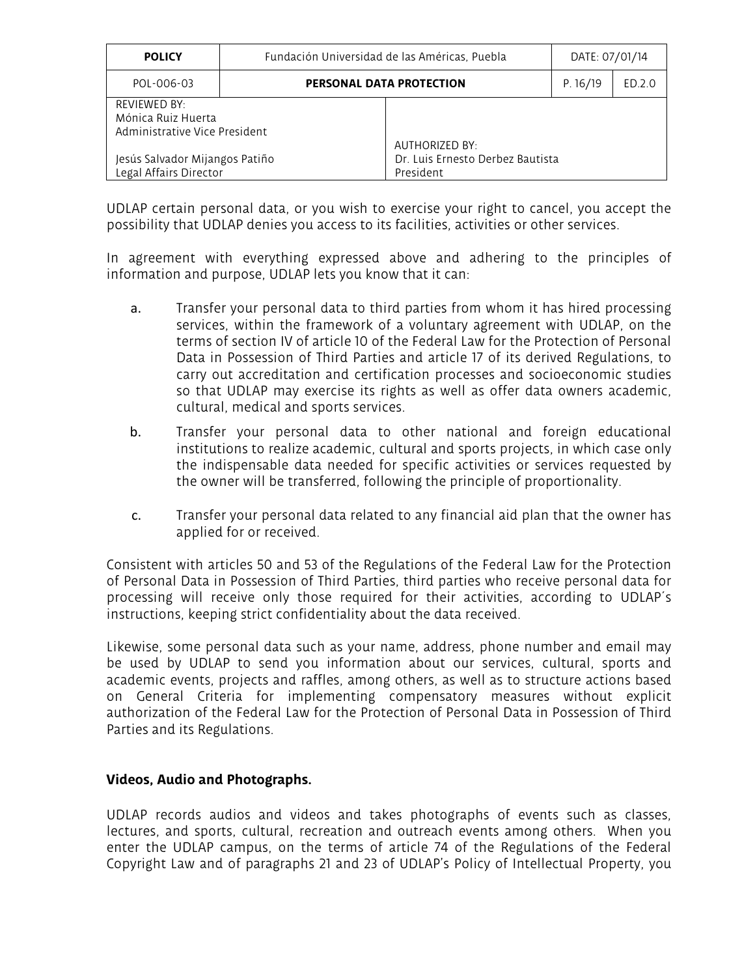| <b>POLICY</b>                                                       | Fundación Universidad de las Américas, Puebla |                                                                 |         | DATE: 07/01/14 |  |
|---------------------------------------------------------------------|-----------------------------------------------|-----------------------------------------------------------------|---------|----------------|--|
| POL-006-03                                                          | PERSONAL DATA PROTECTION                      |                                                                 | P.16/19 | ED.2.0         |  |
| REVIEWED BY:<br>Mónica Ruiz Huerta<br>Administrative Vice President |                                               |                                                                 |         |                |  |
| Jesús Salvador Mijangos Patiño<br>Legal Affairs Director            |                                               | AUTHORIZED BY:<br>Dr. Luis Ernesto Derbez Bautista<br>President |         |                |  |

UDLAP certain personal data, or you wish to exercise your right to cancel, you accept the possibility that UDLAP denies you access to its facilities, activities or other services.

In agreement with everything expressed above and adhering to the principles of information and purpose, UDLAP lets you know that it can:

- a. Transfer your personal data to third parties from whom it has hired processing services, within the framework of a voluntary agreement with UDLAP, on the terms of section IV of article 10 of the Federal Law for the Protection of Personal Data in Possession of Third Parties and article 17 of its derived Regulations, to carry out accreditation and certification processes and socioeconomic studies so that UDLAP may exercise its rights as well as offer data owners academic, cultural, medical and sports services.
- b. Transfer your personal data to other national and foreign educational institutions to realize academic, cultural and sports projects, in which case only the indispensable data needed for specific activities or services requested by the owner will be transferred, following the principle of proportionality.
- c. Transfer your personal data related to any financial aid plan that the owner has applied for or received.

Consistent with articles 50 and 53 of the Regulations of the Federal Law for the Protection of Personal Data in Possession of Third Parties, third parties who receive personal data for processing will receive only those required for their activities, according to UDLAP´s instructions, keeping strict confidentiality about the data received.

Likewise, some personal data such as your name, address, phone number and email may be used by UDLAP to send you information about our services, cultural, sports and academic events, projects and raffles, among others, as well as to structure actions based on General Criteria for implementing compensatory measures without explicit authorization of the Federal Law for the Protection of Personal Data in Possession of Third Parties and its Regulations.

### **Videos, Audio and Photographs.**

UDLAP records audios and videos and takes photographs of events such as classes, lectures, and sports, cultural, recreation and outreach events among others. When you enter the UDLAP campus, on the terms of article 74 of the Regulations of the Federal Copyright Law and of paragraphs 21 and 23 of UDLAP's Policy of Intellectual Property, you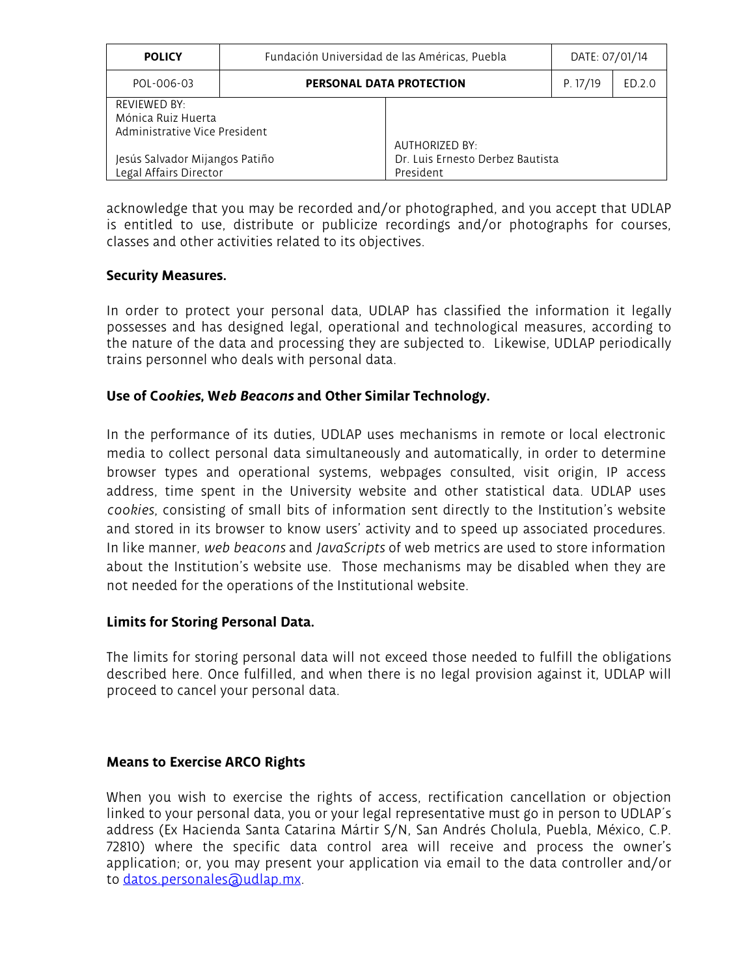| <b>POLICY</b>                                                       | Fundación Universidad de las Américas, Puebla |                                                                 | DATE: 07/01/14 |        |
|---------------------------------------------------------------------|-----------------------------------------------|-----------------------------------------------------------------|----------------|--------|
| POL-006-03                                                          | PERSONAL DATA PROTECTION                      |                                                                 | P. 17/19       | ED.2.0 |
| REVIEWED BY:<br>Mónica Ruiz Huerta<br>Administrative Vice President |                                               |                                                                 |                |        |
| Jesús Salvador Mijangos Patiño<br>Legal Affairs Director            |                                               | AUTHORIZED BY:<br>Dr. Luis Ernesto Derbez Bautista<br>President |                |        |

acknowledge that you may be recorded and/or photographed, and you accept that UDLAP is entitled to use, distribute or publicize recordings and/or photographs for courses, classes and other activities related to its objectives.

## **Security Measures.**

In order to protect your personal data, UDLAP has classified the information it legally possesses and has designed legal, operational and technological measures, according to the nature of the data and processing they are subjected to. Likewise, UDLAP periodically trains personnel who deals with personal data.

## **Use of C***ookies***, W***eb Beacons* **and Other Similar Technology.**

In the performance of its duties, UDLAP uses mechanisms in remote or local electronic media to collect personal data simultaneously and automatically, in order to determine browser types and operational systems, webpages consulted, visit origin, IP access address, time spent in the University website and other statistical data. UDLAP uses *cookies*, consisting of small bits of information sent directly to the Institution's website and stored in its browser to know users' activity and to speed up associated procedures. In like manner, *web beacons* and *JavaScripts* of web metrics are used to store information about the Institution's website use. Those mechanisms may be disabled when they are not needed for the operations of the Institutional website.

### **Limits for Storing Personal Data.**

The limits for storing personal data will not exceed those needed to fulfill the obligations described here. Once fulfilled, and when there is no legal provision against it, UDLAP will proceed to cancel your personal data.

### **Means to Exercise ARCO Rights**

When you wish to exercise the rights of access, rectification cancellation or objection linked to your personal data, you or your legal representative must go in person to UDLAP´s address (Ex Hacienda Santa Catarina Mártir S/N, San Andrés Cholula, Puebla, México, C.P. 72810) where the specific data control area will receive and process the owner's application; or, you may present your application via email to the data controller and/or to [datos.personales@udlap.mx.](mailto:datos.personales@udlap.mx)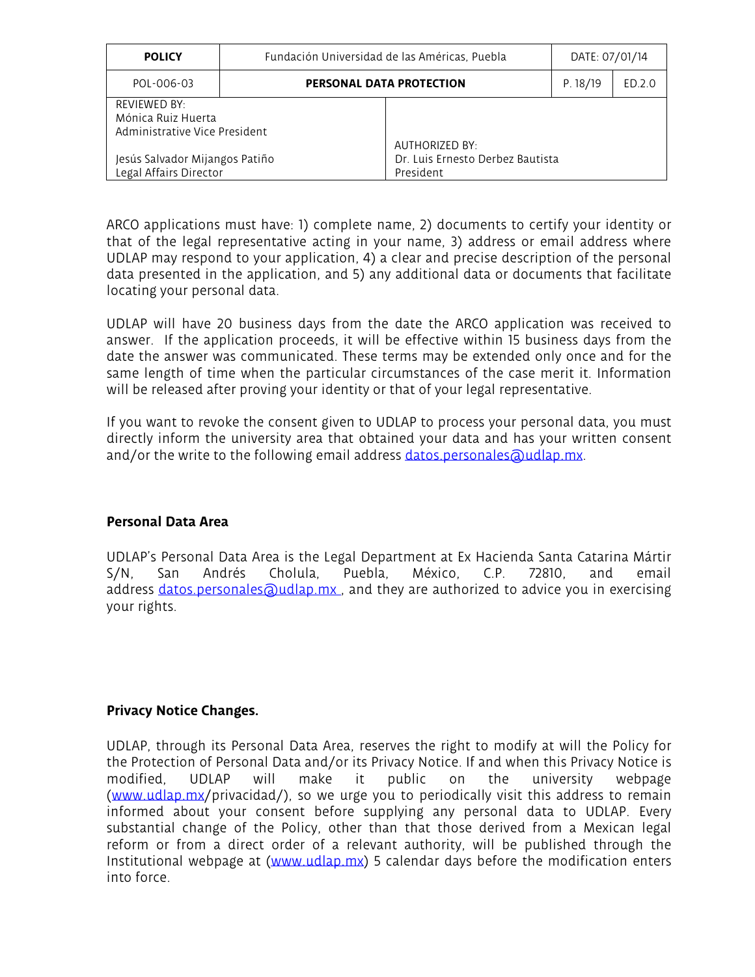| <b>POLICY</b>                                                       | Fundación Universidad de las Américas, Puebla                                                     |  | DATE: 07/01/14 |        |
|---------------------------------------------------------------------|---------------------------------------------------------------------------------------------------|--|----------------|--------|
| POL-006-03                                                          | PERSONAL DATA PROTECTION                                                                          |  | P. 18/19       | ED.2.0 |
| REVIEWED BY:<br>Mónica Ruiz Huerta<br>Administrative Vice President |                                                                                                   |  |                |        |
| Legal Affairs Director                                              | AUTHORIZED BY:<br>Dr. Luis Ernesto Derbez Bautista<br>Jesús Salvador Mijangos Patiño<br>President |  |                |        |

ARCO applications must have: 1) complete name, 2) documents to certify your identity or that of the legal representative acting in your name, 3) address or email address where UDLAP may respond to your application, 4) a clear and precise description of the personal data presented in the application, and 5) any additional data or documents that facilitate locating your personal data.

UDLAP will have 20 business days from the date the ARCO application was received to answer. If the application proceeds, it will be effective within 15 business days from the date the answer was communicated. These terms may be extended only once and for the same length of time when the particular circumstances of the case merit it. Information will be released after proving your identity or that of your legal representative.

If you want to revoke the consent given to UDLAP to process your personal data, you must directly inform the university area that obtained your data and has your written consent and/or the write to the following email address [datos.personales@udlap.mx.](mailto:datos.personales@udlap.mx)

### **Personal Data Area**

UDLAP's Personal Data Area is the Legal Department at Ex Hacienda Santa Catarina Mártir S/N, San Andrés Cholula, Puebla, México, C.P. 72810, and email address [datos.personales@udlap.mx](mailto:datos.personales@udlap.mx)., and they are authorized to advice you in exercising your rights.

### **Privacy Notice Changes.**

UDLAP, through its Personal Data Area, reserves the right to modify at will the Policy for the Protection of Personal Data and/or its Privacy Notice. If and when this Privacy Notice is modified, UDLAP will make it public on the university webpage [\(www.udlap.mx/](http://www.udlap.mx/)privacidad/), so we urge you to periodically visit this address to remain informed about your consent before supplying any personal data to UDLAP. Every substantial change of the Policy, other than that those derived from a Mexican legal reform or from a direct order of a relevant authority, will be published through the Institutional webpage at [\(www.udlap.mx\)](http://www.udlap.mx/) 5 calendar days before the modification enters into force.